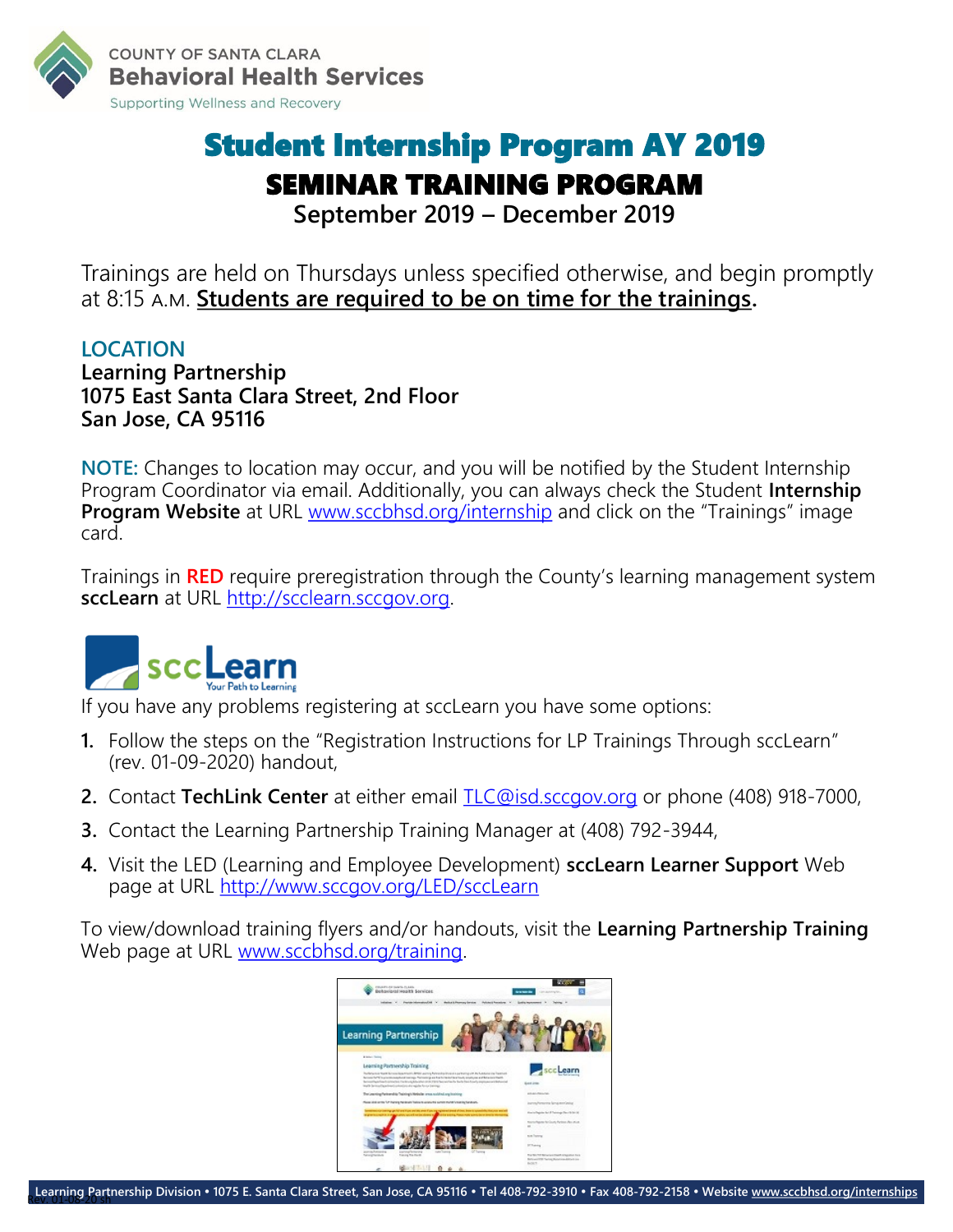

### Student Internship Program AY 2019 SEMINAR TRAINING PROGRAM **September 2019 – December 2019**

Trainings are held on Thursdays unless specified otherwise, and begin promptly at 8:15 a.m. **Students are required to be on time for the trainings.**

#### **LOCATION**

**Learning Partnership 1075 East Santa Clara Street, 2nd Floor San Jose, CA 95116**

**NOTE:** Changes to location may occur, and you will be notified by the Student Internship Program Coordinator via email. Additionally, you can always check the Student **Internship Program Website** at URL [www.sccbhsd.org/internship](http://www.sccbhsd.org/internship) and click on the "Trainings" image card.

Trainings in **RED** require preregistration through the County's learning management system **sccLearn** at URL [http://scclearn.sccgov.org.](http://scclearn.sccgov.org/)



If you have any problems registering at sccLearn you have some options:

- **1.** Follow the steps on the "Registration Instructions for LP Trainings Through sccLearn" (rev. 01-09-2020) handout,
- **2.** Contact **TechLink Center** at either email [TLC@isd.sccgov.org](mailto:TLC@isd.sccgov.org?subject=sccLearn%20Problem) or phone (408) 918-7000,
- **3.** Contact the Learning Partnership Training Manager at (408) 792-3944,
- **4.** Visit the LED (Learning and Employee Development) **sccLearn Learner Support** Web page at URL<http://www.sccgov.org/LED/sccLearn>

To view/download training flyers and/or handouts, visit the **Learning Partnership Training**  Web page at URL [www.sccbhsd.org/training.](http://www.sccbhsd.org/training)

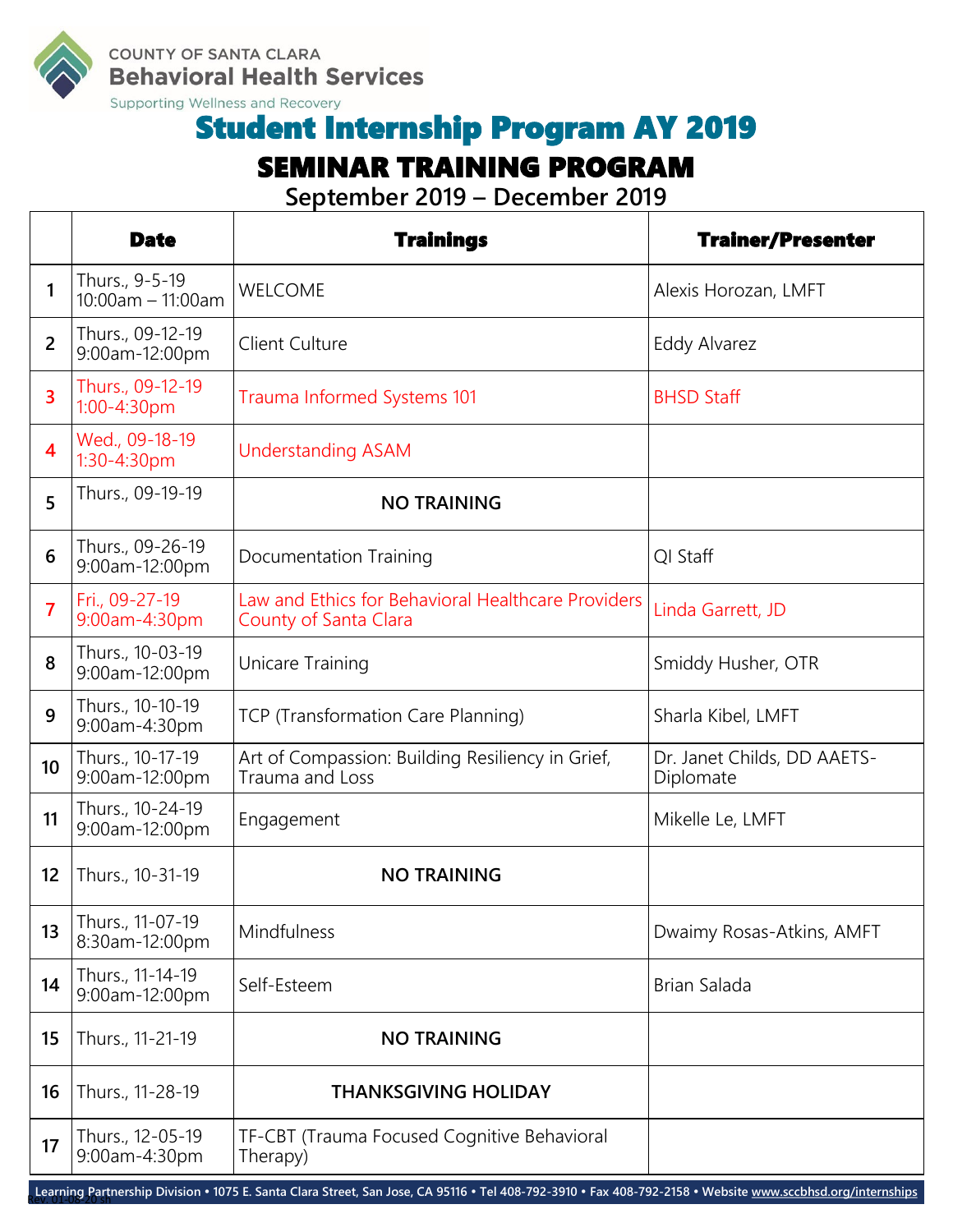

**COUNTY OF SANTA CLARA Behavioral Health Services** 

Supporting Wellness and Recovery

## Student Internship Program AY 2019

#### SEMINAR TRAINING PROGRAM

**September 2019 – December 2019**

|                         | <b>Date</b>                              | <b>Trainings</b>                                                            | <b>Trainer/Presenter</b>                 |
|-------------------------|------------------------------------------|-----------------------------------------------------------------------------|------------------------------------------|
| $\mathbf{1}$            | Thurs., 9-5-19<br>$10:00$ am $-11:00$ am | <b>WELCOME</b>                                                              | Alexis Horozan, LMFT                     |
| $\overline{2}$          | Thurs., 09-12-19<br>9:00am-12:00pm       | <b>Client Culture</b>                                                       | Eddy Alvarez                             |
| 3                       | Thurs., 09-12-19<br>1:00-4:30pm          | Trauma Informed Systems 101                                                 | <b>BHSD Staff</b>                        |
| $\overline{\mathbf{4}}$ | Wed., 09-18-19<br>1:30-4:30pm            | <b>Understanding ASAM</b>                                                   |                                          |
| 5                       | Thurs., 09-19-19                         | <b>NO TRAINING</b>                                                          |                                          |
| 6                       | Thurs., 09-26-19<br>9:00am-12:00pm       | Documentation Training                                                      | QI Staff                                 |
| $\overline{7}$          | Fri., 09-27-19<br>9:00am-4:30pm          | Law and Ethics for Behavioral Healthcare Providers<br>County of Santa Clara | Linda Garrett, JD                        |
| 8                       | Thurs., 10-03-19<br>9:00am-12:00pm       | Unicare Training                                                            | Smiddy Husher, OTR                       |
| 9                       | Thurs., 10-10-19<br>9:00am-4:30pm        | TCP (Transformation Care Planning)                                          | Sharla Kibel, LMFT                       |
| 10 <sup>1</sup>         | Thurs., 10-17-19<br>9:00am-12:00pm       | Art of Compassion: Building Resiliency in Grief,<br>Trauma and Loss         | Dr. Janet Childs, DD AAETS-<br>Diplomate |
| 11                      | Thurs., 10-24-19<br>9:00am-12:00pm       | Engagement                                                                  | Mikelle Le, LMFT                         |
| 12                      | Thurs., 10-31-19                         | <b>NO TRAINING</b>                                                          |                                          |
| 13                      | Thurs., 11-07-19<br>8:30am-12:00pm       | Mindfulness                                                                 | Dwaimy Rosas-Atkins, AMFT                |
| 14                      | Thurs., 11-14-19<br>9:00am-12:00pm       | Self-Esteem                                                                 | Brian Salada                             |
| 15                      | Thurs., 11-21-19                         | <b>NO TRAINING</b>                                                          |                                          |
| 16                      | Thurs., 11-28-19                         | <b>THANKSGIVING HOLIDAY</b>                                                 |                                          |
| 17                      | Thurs., 12-05-19<br>9:00am-4:30pm        | TF-CBT (Trauma Focused Cognitive Behavioral<br>Therapy)                     |                                          |